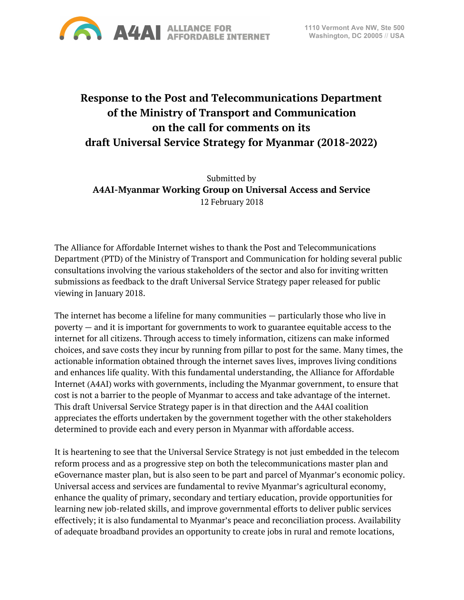

# **Response to the Post and Telecommunications Department of the Ministry of Transport and Communication on the call for comments on its draft Universal Service Strategy for Myanmar (2018-2022)**

Submitted by **A4AI-Myanmar Working Group on Universal Access and Service** 12 February 2018

The Alliance for Affordable Internet wishes to thank the Post and Telecommunications Department (PTD) of the Ministry of Transport and Communication for holding several public consultations involving the various stakeholders of the sector and also for inviting written submissions as feedback to the draft Universal Service Strategy paper released for public viewing in January 2018.

The internet has become a lifeline for many communities — particularly those who live in poverty — and it is important for governments to work to guarantee equitable access to the internet for all citizens. Through access to timely information, citizens can make informed choices, and save costs they incur by running from pillar to post for the same. Many times, the actionable information obtained through the internet saves lives, improves living conditions and enhances life quality. With this fundamental understanding, the Alliance for Affordable Internet (A4AI) works with governments, including the Myanmar government, to ensure that cost is not a barrier to the people of Myanmar to access and take advantage of the internet. This draft Universal Service Strategy paper is in that direction and the A4AI coalition appreciates the efforts undertaken by the government together with the other stakeholders determined to provide each and every person in Myanmar with affordable access.

It is heartening to see that the Universal Service Strategy is not just embedded in the telecom reform process and as a progressive step on both the telecommunications master plan and eGovernance master plan, but is also seen to be part and parcel of Myanmar's economic policy. Universal access and services are fundamental to revive Myanmar's agricultural economy, enhance the quality of primary, secondary and tertiary education, provide opportunities for learning new job-related skills, and improve governmental efforts to deliver public services effectively; it is also fundamental to Myanmar's peace and reconciliation process. Availability of adequate broadband provides an opportunity to create jobs in rural and remote locations,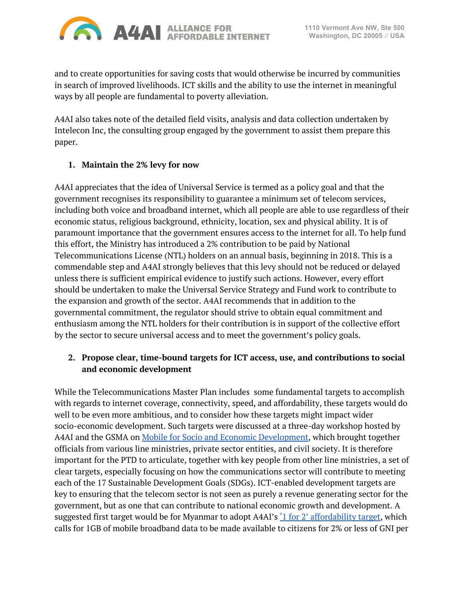

and to create opportunities for saving costs that would otherwise be incurred by communities in search of improved livelihoods. ICT skills and the ability to use the internet in meaningful ways by all people are fundamental to poverty alleviation.

A4AI also takes note of the detailed field visits, analysis and data collection undertaken by Intelecon Inc, the consulting group engaged by the government to assist them prepare this paper.

#### **1. Maintain the 2% levy for now**

A4AI appreciates that the idea of Universal Service is termed as a policy goal and that the government recognises its responsibility to guarantee a minimum set of telecom services, including both voice and broadband internet, which all people are able to use regardless of their economic status, religious background, ethnicity, location, sex and physical ability. It is of paramount importance that the government ensures access to the internet for all. To help fund this effort, the Ministry has introduced a 2% contribution to be paid by National Telecommunications License (NTL) holders on an annual basis, beginning in 2018. This is a commendable step and A4AI strongly believes that this levy should not be reduced or delayed unless there is sufficient empirical evidence to justify such actions. However, every effort should be undertaken to make the Universal Service Strategy and Fund work to contribute to the expansion and growth of the sector. A4AI recommends that in addition to the governmental commitment, the regulator should strive to obtain equal commitment and enthusiasm among the NTL holders for their contribution is in support of the collective effort by the sector to secure universal access and to meet the government's policy goals.

## **2. Propose clear, time-bound targets for ICT access, use, and contributions to social and economic development**

While the Telecommunications Master Plan includes some fundamental targets to accomplish with regards to internet coverage, connectivity, speed, and affordability, these targets would do well to be even more ambitious, and to consider how these targets might impact wider socio-economic development. Such targets were discussed at a three-day workshop hosted by A4AI and the GSMA on Mobile for Socio and Economic [Development](http://a4ai.org/myanmar/a4ai-myanmar-coalition-meeting-and-workshop-july-20-22-2016/), which brought together officials from various line ministries, private sector entities, and civil society. It is therefore important for the PTD to articulate, together with key people from other line ministries, a set of clear targets, especially focusing on how the communications sector will contribute to meeting each of the 17 Sustainable Development Goals (SDGs). ICT-enabled development targets are key to ensuring that the telecom sector is not seen as purely a revenue generating sector for the government, but as one that can contribute to national economic growth and development. A suggested first target would be for Myanmar to adopt A4AI's  $\frac{1}{1}$  for 2' [affordability](http://a4ai.org/un-broadband-commission-adopts-a4ai-1-for-2-affordability-target/) target, which calls for 1GB of mobile broadband data to be made available to citizens for 2% or less of GNI per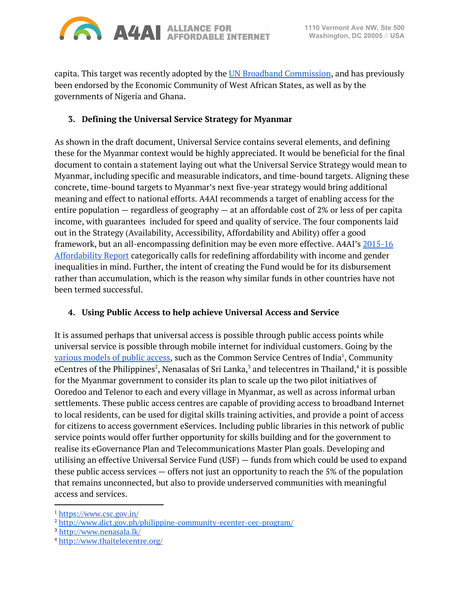

capita. This target was recently adopted by the UN Broadband [Commission](http://www.broadbandcommission.org/Documents/publications/wef2018.pdf), and has previously been endorsed by the Economic Community of West African States, as well as by the governments of Nigeria and Ghana.

### **3. Defining the Universal Service Strategy for Myanmar**

As shown in the draft document, Universal Service contains several elements, and defining these for the Myanmar context would be highly appreciated. It would be beneficial for the final document to contain a statement laying out what the Universal Service Strategy would mean to Myanmar, including specific and measurable indicators, and time-bound targets. Aligning these concrete, time-bound targets to Myanmar's next five-year strategy would bring additional meaning and effect to national efforts. A4AI recommends a target of enabling access for the entire population — regardless of geography — at an affordable cost of 2% or less of per capita income, with guarantees included for speed and quality of service. The four components laid out in the Strategy (Availability, Accessibility, Affordability and Ability) offer a good framework, but an all-encompassing definition may be even more effective. A4AI's [2015-16](http://a4ai.org/affordability-report/report/2015/#policy_recommendations) [Affordability](http://a4ai.org/affordability-report/report/2015/#policy_recommendations) Report categorically calls for redefining affordability with income and gender inequalities in mind. Further, the intent of creating the Fund would be for its disbursement rather than accumulation, which is the reason why similar funds in other countries have not been termed successful.

## **4. Using Public Access to help achieve Universal Access and Service**

It is assumed perhaps that universal access is possible through public access points while universal service is possible through mobile internet for individual customers. Going by the <u>[various](http://a4ai.org/affordability-report/report/2017/#employing_public_access_solutions_to_close_the_digital_divide) models of public access</u>, such as the Common Service Centres of India<sup>1</sup>, Community eCentres of the Philippines $^2$ , Nenasalas of Sri Lanka, $^3$  and telecentres in Thailand, $^4$  it is possible for the Myanmar government to consider its plan to scale up the two pilot initiatives of Ooredoo and Telenor to each and every village in Myanmar, as well as across informal urban settlements. These public access centres are capable of providing access to broadband Internet to local residents, can be used for digital skills training activities, and provide a point of access for citizens to access government eServices. Including public libraries in this network of public service points would offer further opportunity for skills building and for the government to realise its eGovernance Plan and Telecommunications Master Plan goals. Developing and utilising an effective Universal Service Fund (USF) — funds from which could be used to expand these public access services  $-$  offers not just an opportunity to reach the 5% of the population that remains unconnected, but also to provide underserved communities with meaningful access and services.

<sup>1</sup> <https://www.csc.gov.in/>

<sup>2</sup> <http://www.dict.gov.ph/philippine-community-ecenter-cec-program/>

<sup>3</sup> <http://www.nenasala.lk/>

<sup>4</sup> <http://www.thaitelecentre.org/>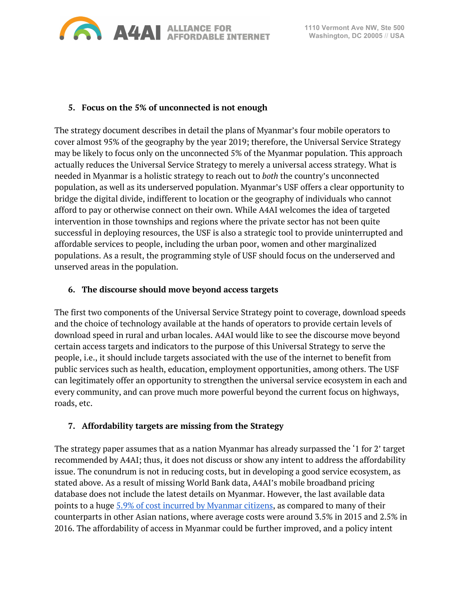

#### **5. Focus on the 5% of unconnected is not enough**

The strategy document describes in detail the plans of Myanmar's four mobile operators to cover almost 95% of the geography by the year 2019; therefore, the Universal Service Strategy may be likely to focus only on the unconnected 5% of the Myanmar population. This approach actually reduces the Universal Service Strategy to merely a universal access strategy. What is needed in Myanmar is a holistic strategy to reach out to *both* the country's unconnected population, as well as its underserved population. Myanmar's USF offers a clear opportunity to bridge the digital divide, indifferent to location or the geography of individuals who cannot afford to pay or otherwise connect on their own. While A4AI welcomes the idea of targeted intervention in those townships and regions where the private sector has not been quite successful in deploying resources, the USF is also a strategic tool to provide uninterrupted and affordable services to people, including the urban poor, women and other marginalized populations. As a result, the programming style of USF should focus on the underserved and unserved areas in the population.

#### **6. The discourse should move beyond access targets**

The first two components of the Universal Service Strategy point to coverage, download speeds and the choice of technology available at the hands of operators to provide certain levels of download speed in rural and urban locales. A4AI would like to see the discourse move beyond certain access targets and indicators to the purpose of this Universal Strategy to serve the people, i.e., it should include targets associated with the use of the internet to benefit from public services such as health, education, employment opportunities, among others. The USF can legitimately offer an opportunity to strengthen the universal service ecosystem in each and every community, and can prove much more powerful beyond the current focus on highways, roads, etc.

#### **7. Affordability targets are missing from the Strategy**

The strategy paper assumes that as a nation Myanmar has already surpassed the '1 for 2' target recommended by A4AI; thus, it does not discuss or show any intent to address the affordability issue. The conundrum is not in reducing costs, but in developing a good service ecosystem, as stated above. As a result of missing World Bank data, A4AI's mobile broadband pricing database does not include the latest details on Myanmar. However, the last available data points to a huge 5.9% of cost incurred by [Myanmar](http://a4ai.org/mobile-broadband-pricing-data/) citizens, as compared to many of their counterparts in other Asian nations, where average costs were around 3.5% in 2015 and 2.5% in 2016. The affordability of access in Myanmar could be further improved, and a policy intent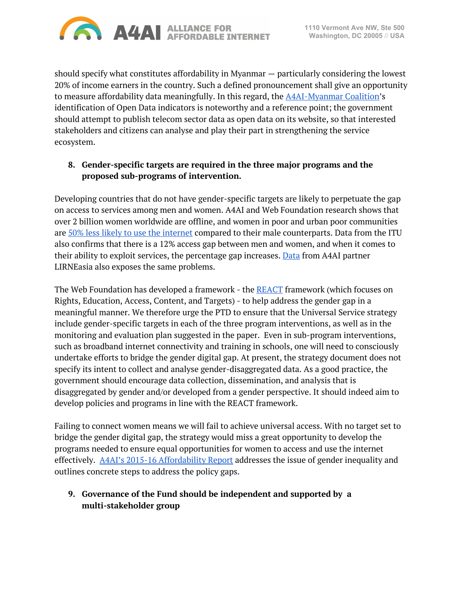

should specify what constitutes affordability in Myanmar — particularly considering the lowest 20% of income earners in the country. Such a defined pronouncement shall give an opportunity to measure affordability data meaningfully. In this regard, the [A4AI-Myanmar](http://a4ai.org/myanmar/) Coalition's identification of Open Data indicators is noteworthy and a reference point; the government should attempt to publish telecom sector data as open data on its website, so that interested stakeholders and citizens can analyse and play their part in strengthening the service ecosystem.

#### **8. Gender-specific targets are required in the three major programs and the proposed sub-programs of intervention.**

Developing countries that do not have gender-specific targets are likely to perpetuate the gap on access to services among men and women. A4AI and Web Foundation research shows that over 2 billion women worldwide are offline, and women in poor and urban poor communities are 50% less likely to use the [internet](http://webfoundation.org/about/research/womens-rights-online-2015/) compared to their male counterparts. Data from the ITU also confirms that there is a 12% access gap between men and women, and when it comes to their ability to exploit services, the percentage gap increases. [Data](http://lirneasia.net/wp-content/uploads/2016/04/Galpaya-LA-GSMA-Gender-Launch-WebVersion_V28.pdf) from A4AI partner LIRNEasia also exposes the same problems.

The Web Foundation has developed a framework - the [REACT](https://webfoundation.org/react/) framework (which focuses on Rights, Education, Access, Content, and Targets) - to help address the gender gap in a meaningful manner. We therefore urge the PTD to ensure that the Universal Service strategy include gender-specific targets in each of the three program interventions, as well as in the monitoring and evaluation plan suggested in the paper. Even in sub-program interventions, such as broadband internet connectivity and training in schools, one will need to consciously undertake efforts to bridge the gender digital gap. At present, the strategy document does not specify its intent to collect and analyse gender-disaggregated data. As a good practice, the government should encourage data collection, dissemination, and analysis that is disaggregated by gender and/or developed from a gender perspective. It should indeed aim to develop policies and programs in line with the REACT framework.

Failing to connect women means we will fail to achieve universal access. With no target set to bridge the gender digital gap, the strategy would miss a great opportunity to develop the programs needed to ensure equal opportunities for women to access and use the internet effectively. A4AI's 2015-16 [Affordability](http://a4ai.org/affordability-report/report/2015/#develop_gender-responsive_national_broadband_plans) Report addresses the issue of gender inequality and outlines concrete steps to address the policy gaps.

## **9. Governance of the Fund should be independent and supported by a multi-stakeholder group**